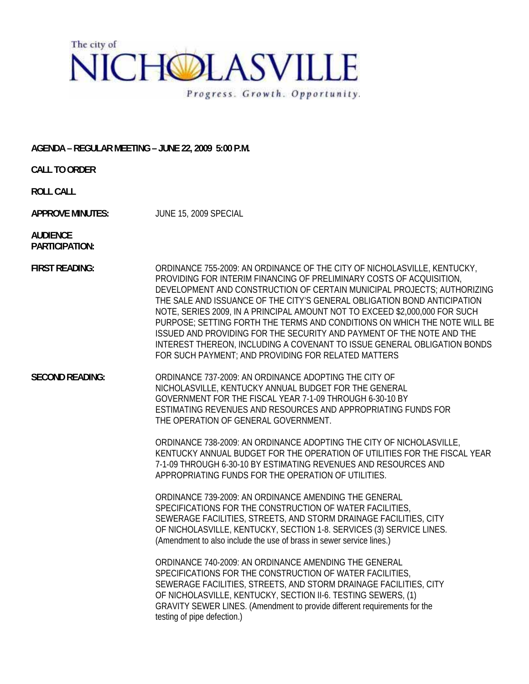

## **AGENDA – REGULAR MEETING – JUNE 22, 2009 5:00 P.M.**

**CALL TO ORDER** 

**ROLL CALL** 

**APPROVE MINUTES:** JUNE 15, 2009 SPECIAL

**AUDIENCE PARTICIPATION:** 

**FIRST READING:** ORDINANCE 755-2009: AN ORDINANCE OF THE CITY OF NICHOLASVILLE, KENTUCKY, PROVIDING FOR INTERIM FINANCING OF PRELIMINARY COSTS OF ACQUISITION, DEVELOPMENT AND CONSTRUCTION OF CERTAIN MUNICIPAL PROJECTS; AUTHORIZING THE SALE AND ISSUANCE OF THE CITY'S GENERAL OBLIGATION BOND ANTICIPATION NOTE, SERIES 2009, IN A PRINCIPAL AMOUNT NOT TO EXCEED \$2,000,000 FOR SUCH PURPOSE; SETTING FORTH THE TERMS AND CONDITIONS ON WHICH THE NOTE WILL BE ISSUED AND PROVIDING FOR THE SECURITY AND PAYMENT OF THE NOTE AND THE INTEREST THEREON, INCLUDING A COVENANT TO ISSUE GENERAL OBLIGATION BONDS FOR SUCH PAYMENT; AND PROVIDING FOR RELATED MATTERS

**SECOND READING:** ORDINANCE 737-2009: AN ORDINANCE ADOPTING THE CITY OF NICHOLASVILLE, KENTUCKY ANNUAL BUDGET FOR THE GENERAL GOVERNMENT FOR THE FISCAL YEAR 7-1-09 THROUGH 6-30-10 BY ESTIMATING REVENUES AND RESOURCES AND APPROPRIATING FUNDS FOR THE OPERATION OF GENERAL GOVERNMENT.

> ORDINANCE 738-2009: AN ORDINANCE ADOPTING THE CITY OF NICHOLASVILLE, KENTUCKY ANNUAL BUDGET FOR THE OPERATION OF UTILITIES FOR THE FISCAL YEAR 7-1-09 THROUGH 6-30-10 BY ESTIMATING REVENUES AND RESOURCES AND APPROPRIATING FUNDS FOR THE OPERATION OF UTILITIES.

ORDINANCE 739-2009: AN ORDINANCE AMENDING THE GENERAL SPECIFICATIONS FOR THE CONSTRUCTION OF WATER FACILITIES, SEWERAGE FACILITIES, STREETS, AND STORM DRAINAGE FACILITIES, CITY OF NICHOLASVILLE, KENTUCKY, SECTION 1-8. SERVICES (3) SERVICE LINES. (Amendment to also include the use of brass in sewer service lines.)

ORDINANCE 740-2009: AN ORDINANCE AMENDING THE GENERAL SPECIFICATIONS FOR THE CONSTRUCTION OF WATER FACILITIES, SEWERAGE FACILITIES, STREETS, AND STORM DRAINAGE FACILITIES, CITY OF NICHOLASVILLE, KENTUCKY, SECTION II-6. TESTING SEWERS, (1) GRAVITY SEWER LINES. (Amendment to provide different requirements for the testing of pipe defection.)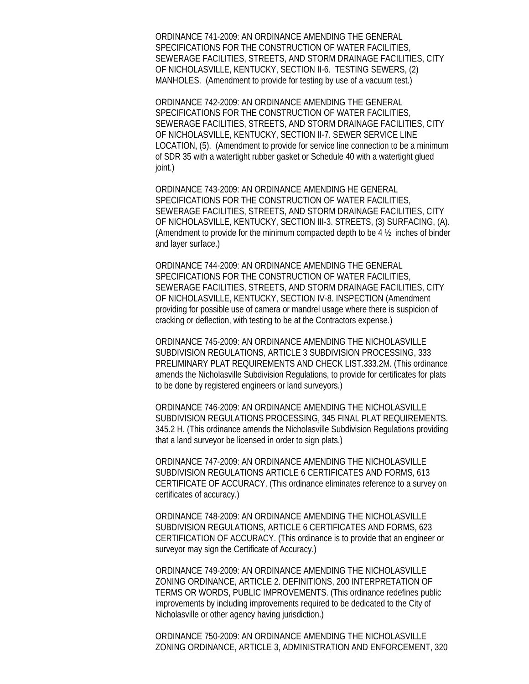ORDINANCE 741-2009: AN ORDINANCE AMENDING THE GENERAL SPECIFICATIONS FOR THE CONSTRUCTION OF WATER FACILITIES, SEWERAGE FACILITIES, STREETS, AND STORM DRAINAGE FACILITIES, CITY OF NICHOLASVILLE, KENTUCKY, SECTION II-6. TESTING SEWERS, (2) MANHOLES. (Amendment to provide for testing by use of a vacuum test.)

ORDINANCE 742-2009: AN ORDINANCE AMENDING THE GENERAL SPECIFICATIONS FOR THE CONSTRUCTION OF WATER FACILITIES, SEWERAGE FACILITIES, STREETS, AND STORM DRAINAGE FACILITIES, CITY OF NICHOLASVILLE, KENTUCKY, SECTION II-7. SEWER SERVICE LINE LOCATION, (5). (Amendment to provide for service line connection to be a minimum of SDR 35 with a watertight rubber gasket or Schedule 40 with a watertight glued joint.)

ORDINANCE 743-2009: AN ORDINANCE AMENDING HE GENERAL SPECIFICATIONS FOR THE CONSTRUCTION OF WATER FACILITIES, SEWERAGE FACILITIES, STREETS, AND STORM DRAINAGE FACILITIES, CITY OF NICHOLASVILLE, KENTUCKY, SECTION III-3. STREETS, (3) SURFACING, (A). (Amendment to provide for the minimum compacted depth to be 4 ½ inches of binder and layer surface.)

ORDINANCE 744-2009: AN ORDINANCE AMENDING THE GENERAL SPECIFICATIONS FOR THE CONSTRUCTION OF WATER FACILITIES, SEWERAGE FACILITIES, STREETS, AND STORM DRAINAGE FACILITIES, CITY OF NICHOLASVILLE, KENTUCKY, SECTION IV-8. INSPECTION (Amendment providing for possible use of camera or mandrel usage where there is suspicion of cracking or deflection, with testing to be at the Contractors expense.)

ORDINANCE 745-2009: AN ORDINANCE AMENDING THE NICHOLASVILLE SUBDIVISION REGULATIONS, ARTICLE 3 SUBDIVISION PROCESSING, 333 PRELIMINARY PLAT REQUIREMENTS AND CHECK LIST.333.2M. (This ordinance amends the Nicholasville Subdivision Regulations, to provide for certificates for plats to be done by registered engineers or land surveyors.)

ORDINANCE 746-2009: AN ORDINANCE AMENDING THE NICHOLASVILLE SUBDIVISION REGULATIONS PROCESSING, 345 FINAL PLAT REQUIREMENTS. 345.2 H. (This ordinance amends the Nicholasville Subdivision Regulations providing that a land surveyor be licensed in order to sign plats.)

ORDINANCE 747-2009: AN ORDINANCE AMENDING THE NICHOLASVILLE SUBDIVISION REGULATIONS ARTICLE 6 CERTIFICATES AND FORMS, 613 CERTIFICATE OF ACCURACY. (This ordinance eliminates reference to a survey on certificates of accuracy.)

ORDINANCE 748-2009: AN ORDINANCE AMENDING THE NICHOLASVILLE SUBDIVISION REGULATIONS, ARTICLE 6 CERTIFICATES AND FORMS, 623 CERTIFICATION OF ACCURACY. (This ordinance is to provide that an engineer or surveyor may sign the Certificate of Accuracy.)

ORDINANCE 749-2009: AN ORDINANCE AMENDING THE NICHOLASVILLE ZONING ORDINANCE, ARTICLE 2. DEFINITIONS, 200 INTERPRETATION OF TERMS OR WORDS, PUBLIC IMPROVEMENTS. (This ordinance redefines public improvements by including improvements required to be dedicated to the City of Nicholasville or other agency having jurisdiction.)

ORDINANCE 750-2009: AN ORDINANCE AMENDING THE NICHOLASVILLE ZONING ORDINANCE, ARTICLE 3, ADMINISTRATION AND ENFORCEMENT, 320